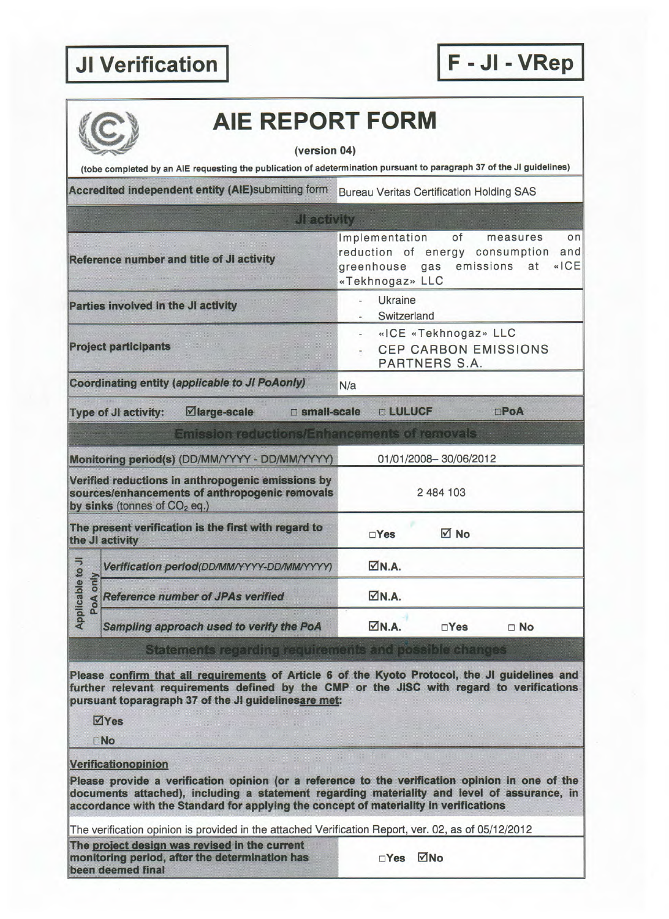|                                                                                                                                                 | (version 04)                                                            |                                                                                                                                                     |  |  |  |
|-------------------------------------------------------------------------------------------------------------------------------------------------|-------------------------------------------------------------------------|-----------------------------------------------------------------------------------------------------------------------------------------------------|--|--|--|
|                                                                                                                                                 |                                                                         | (tobe completed by an AIE requesting the publication of adetermination pursuant to paragraph 37 of the JI guidelines)                               |  |  |  |
|                                                                                                                                                 | Accredited independent entity (AIE)submitting form                      | <b>Bureau Veritas Certification Holding SAS</b>                                                                                                     |  |  |  |
|                                                                                                                                                 | JI activity                                                             |                                                                                                                                                     |  |  |  |
|                                                                                                                                                 | Reference number and title of JI activity                               | of<br>Implementation<br>measures<br>on<br>reduction of energy consumption<br>and<br>«ICE<br>emissions<br>greenhouse<br>gas<br>at<br>«Tekhnogaz» LLC |  |  |  |
|                                                                                                                                                 | Parties involved in the JI activity                                     | Ukraine<br>z.<br>Switzerland                                                                                                                        |  |  |  |
| <b>Project participants</b>                                                                                                                     |                                                                         | «ICE «Tekhnogaz» LLC<br>٠<br><b>CEP CARBON EMISSIONS</b><br>PARTNERS S.A.                                                                           |  |  |  |
|                                                                                                                                                 | Coordinating entity (applicable to JI PoAonly)                          | N/a                                                                                                                                                 |  |  |  |
|                                                                                                                                                 | ⊠large-scale<br>□ small-scale<br><b>Type of JI activity:</b>            | <b>DLULUCF</b><br>$\square$ Po $A$                                                                                                                  |  |  |  |
|                                                                                                                                                 | <b>Emission reductions/Enhancements of removals</b>                     |                                                                                                                                                     |  |  |  |
| Monitoring period(s) (DD/MM/YYYY - DD/MM/YYYY)                                                                                                  |                                                                         | 01/01/2008-30/06/2012                                                                                                                               |  |  |  |
| Verified reductions in anthropogenic emissions by<br>sources/enhancements of anthropogenic removals<br>by sinks (tonnes of CO <sub>2</sub> eq.) |                                                                         | 2 484 103                                                                                                                                           |  |  |  |
|                                                                                                                                                 | The present verification is the first with regard to<br>the JI activity | <b>√</b> No<br>$\Box$ Yes                                                                                                                           |  |  |  |
| Applicable to JI<br>PoA only                                                                                                                    | Verification period(DD/MM/YYYY-DD/MM/YYYY)                              | $\nabla N.A.$                                                                                                                                       |  |  |  |
|                                                                                                                                                 | <b>Reference number of JPAs verified</b>                                | $\nabla N.A.$                                                                                                                                       |  |  |  |
|                                                                                                                                                 | Sampling approach used to verify the PoA                                | $\nabla N.A.$<br>$\Box$ Yes<br>$\Box$ No                                                                                                            |  |  |  |
|                                                                                                                                                 | Statements regarding requirements and possible changes                  |                                                                                                                                                     |  |  |  |
|                                                                                                                                                 |                                                                         | Please confirm that all requirements of Article 6 of the Kyoto Protocol, the JI guidelines and                                                      |  |  |  |
|                                                                                                                                                 | pursuant toparagraph 37 of the JI guidelinesare met:                    | further relevant requirements defined by the CMP or the JISC with regard to verifications                                                           |  |  |  |
|                                                                                                                                                 | $\overline{\triangle}$ Yes                                              |                                                                                                                                                     |  |  |  |
|                                                                                                                                                 | <b>DNo</b>                                                              |                                                                                                                                                     |  |  |  |
|                                                                                                                                                 |                                                                         |                                                                                                                                                     |  |  |  |

The project design was revised in the current monitoring period, after the determination has  $\Box$  Yes  $\Box$  No been deemed final